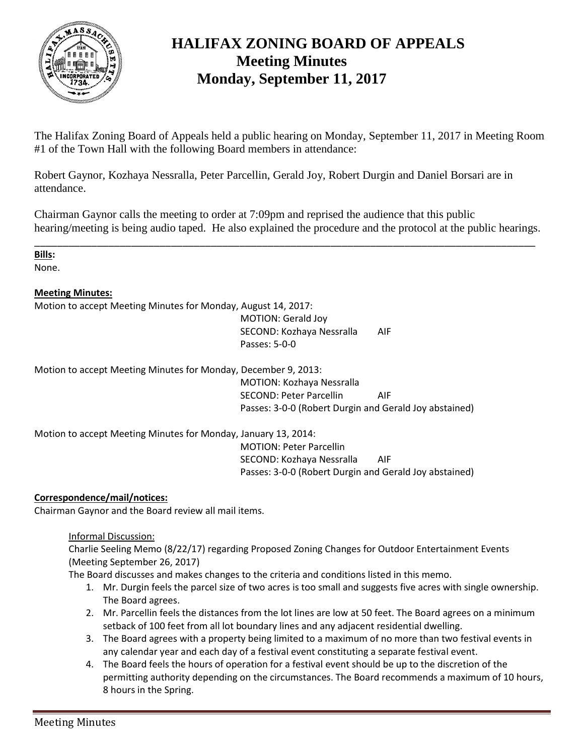

## **HALIFAX ZONING BOARD OF APPEALS Meeting Minutes Monday, September 11, 2017**

The Halifax Zoning Board of Appeals held a public hearing on Monday, September 11, 2017 in Meeting Room #1 of the Town Hall with the following Board members in attendance:

Robert Gaynor, Kozhaya Nessralla, Peter Parcellin, Gerald Joy, Robert Durgin and Daniel Borsari are in attendance.

Chairman Gaynor calls the meeting to order at 7:09pm and reprised the audience that this public hearing/meeting is being audio taped. He also explained the procedure and the protocol at the public hearings.

\_\_\_\_\_\_\_\_\_\_\_\_\_\_\_\_\_\_\_\_\_\_\_\_\_\_\_\_\_\_\_\_\_\_\_\_\_\_\_\_\_\_\_\_\_\_\_\_\_\_\_\_\_\_\_\_\_\_\_\_\_\_\_\_\_\_\_\_\_\_\_\_\_\_\_\_\_\_\_\_\_\_\_\_\_\_\_\_

**Bills:**

None.

## **Meeting Minutes:**

Motion to accept Meeting Minutes for Monday, August 14, 2017:

MOTION: Gerald Joy SECOND: Kozhaya Nessralla AIF Passes: 5-0-0

Motion to accept Meeting Minutes for Monday, December 9, 2013:

MOTION: Kozhaya Nessralla SECOND: Peter Parcellin AIF Passes: 3-0-0 (Robert Durgin and Gerald Joy abstained)

Motion to accept Meeting Minutes for Monday, January 13, 2014:

MOTION: Peter Parcellin SECOND: Kozhaya Nessralla AIF Passes: 3-0-0 (Robert Durgin and Gerald Joy abstained)

## **Correspondence/mail/notices:**

Chairman Gaynor and the Board review all mail items.

Informal Discussion:

Charlie Seeling Memo (8/22/17) regarding Proposed Zoning Changes for Outdoor Entertainment Events (Meeting September 26, 2017)

The Board discusses and makes changes to the criteria and conditions listed in this memo.

- 1. Mr. Durgin feels the parcel size of two acres is too small and suggests five acres with single ownership. The Board agrees.
- 2. Mr. Parcellin feels the distances from the lot lines are low at 50 feet. The Board agrees on a minimum setback of 100 feet from all lot boundary lines and any adjacent residential dwelling.
- 3. The Board agrees with a property being limited to a maximum of no more than two festival events in any calendar year and each day of a festival event constituting a separate festival event.
- 4. The Board feels the hours of operation for a festival event should be up to the discretion of the permitting authority depending on the circumstances. The Board recommends a maximum of 10 hours, 8 hours in the Spring.